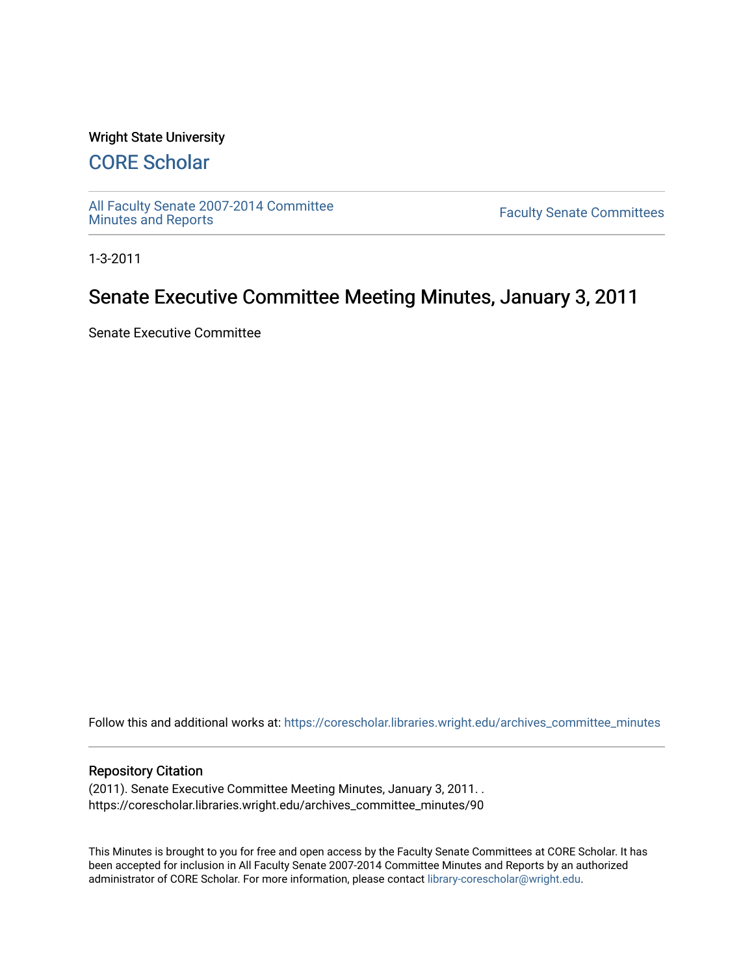#### Wright State University

# [CORE Scholar](https://corescholar.libraries.wright.edu/)

[All Faculty Senate 2007-2014 Committee](https://corescholar.libraries.wright.edu/archives_committee_minutes)

**Faculty Senate Committees** 

1-3-2011

# Senate Executive Committee Meeting Minutes, January 3, 2011

Senate Executive Committee

Follow this and additional works at: [https://corescholar.libraries.wright.edu/archives\\_committee\\_minutes](https://corescholar.libraries.wright.edu/archives_committee_minutes?utm_source=corescholar.libraries.wright.edu%2Farchives_committee_minutes%2F90&utm_medium=PDF&utm_campaign=PDFCoverPages) 

#### Repository Citation

(2011). Senate Executive Committee Meeting Minutes, January 3, 2011. . https://corescholar.libraries.wright.edu/archives\_committee\_minutes/90

This Minutes is brought to you for free and open access by the Faculty Senate Committees at CORE Scholar. It has been accepted for inclusion in All Faculty Senate 2007-2014 Committee Minutes and Reports by an authorized administrator of CORE Scholar. For more information, please contact [library-corescholar@wright.edu.](mailto:library-corescholar@wright.edu)